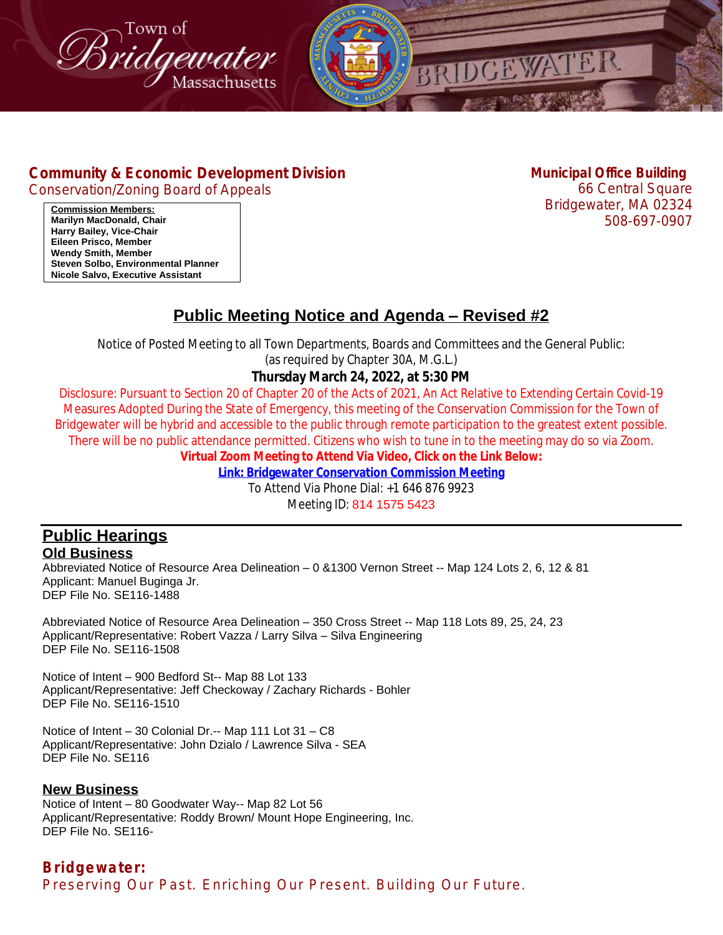



## **[Community & Economic Development Division](http://www.bridgewaterma.org/)**

[Conservation/Zoning Board of Appeals](http://www.bridgewaterma.org/)

**[Municipal Office Building](http://www.bridgewaterma.org/)** [66](http://www.bridgewaterma.org/) [Central Square](http://www.bridgewaterma.org/)

[Bridgewater, MA 02324](http://www.bridgewaterma.org/) [508-697-0907](http://www.bridgewaterma.org/)

**[Commission Members:](https://us06web.zoom.us/j/81415755423) [Marilyn MacDonald, Chair](https://us06web.zoom.us/j/81415755423) [Harry Bailey, Vice-Chair](https://us06web.zoom.us/j/81415755423) [Eileen Prisco, Member](https://us06web.zoom.us/j/81415755423) [Wendy Smith, Member](https://us06web.zoom.us/j/81415755423) [Steven Solbo, Environmental Planner](https://us06web.zoom.us/j/81415755423) [Nicole Salvo, Executive Assistant](https://us06web.zoom.us/j/81415755423)**

# **Public Meeting Notice and Agenda – Revised #2**

Notice of Posted Meeting to all Town Departments, Boards and Committees and the General Public:

(as required by Chapter 30A, M.G.L.)

### **Thursday March 24, 2022, at 5:30 PM**

Disclosure: Pursuant to Section 20 of Chapter 20 of the Acts of 2021, An Act Relative to Extending Certain Covid-19 Measures Adopted During the State of Emergency, this meeting of the Conservation Commission for the Town of Bridgewater will be hybrid and accessible to the public through remote participation to the greatest extent possible. There will be no public attendance permitted. Citizens who wish to tune in to the meeting may do so via Zoom.

**Virtual Zoom Meeting to Attend Via Video, Click on the Link Below:**

**[Link: Bridgewater Conservation Commission Meeting](https://us06web.zoom.us/j/81415755423)**

[To Attend Via Phone Dial: +1 646 876 9923](https://us06web.zoom.us/j/81415755423) [Meeting ID:](https://us06web.zoom.us/j/81415755423) [814 1575 5423](https://us06web.zoom.us/j/81415755423)

#### **[Public Hearings](https://us06web.zoom.us/j/81415755423) [Old Business](https://us06web.zoom.us/j/81415755423)**

Abbreviated Notice of Resource Area Delineation – [0 &1300 Vernon Street -- Map 124 Lots 2, 6, 12 & 81](https://us06web.zoom.us/j/81415755423) [Applicant: Manuel Buginga Jr.](https://us06web.zoom.us/j/81415755423) [DEP File No. SE116-1488](https://us06web.zoom.us/j/81415755423)

[Abbreviated Notice of Resource Area Delineation](https://us06web.zoom.us/j/81415755423) – 350 Cross Street -- Map 118 Lots 89, 25, 24, 23 [Applicant/Representative: Robert Vazza](https://us06web.zoom.us/j/81415755423) / Larry Silva – [Silva Engineering](https://us06web.zoom.us/j/81415755423) [DEP File No. SE116-1508](https://us06web.zoom.us/j/81415755423)

Notice of Intent – [900 Bedford St-- Map 88 Lot 133](https://us06web.zoom.us/j/81415755423) [Applicant/Representative: Jeff Checkoway / Zachary Richards - Bohler](https://us06web.zoom.us/j/81415755423) [DEP File No. SE116-1510](https://us06web.zoom.us/j/81415755423)

Notice of Intent – [30 Colonial Dr.-- Map 111 Lot 31](https://us06web.zoom.us/j/81415755423) – C8 [Applicant/Representative: John Dzialo / Lawrence Silva - SEA](https://us06web.zoom.us/j/81415755423) [DEP File No. SE116](https://us06web.zoom.us/j/81415755423)

#### **[New Business](https://us06web.zoom.us/j/81415755423)**

[Notice of Intent](https://us06web.zoom.us/j/81415755423) – [80 Goodwater Way-- Map 82 Lot 56](https://us06web.zoom.us/j/81415755423) [Applicant/Representative: Roddy Brown/ Mount Hope Engineering, Inc.](https://us06web.zoom.us/j/81415755423) [DEP File No. SE116-](https://us06web.zoom.us/j/81415755423)

*Bridgewater: Preserving Our Past. Enriching Our Present. Building Our Future.*